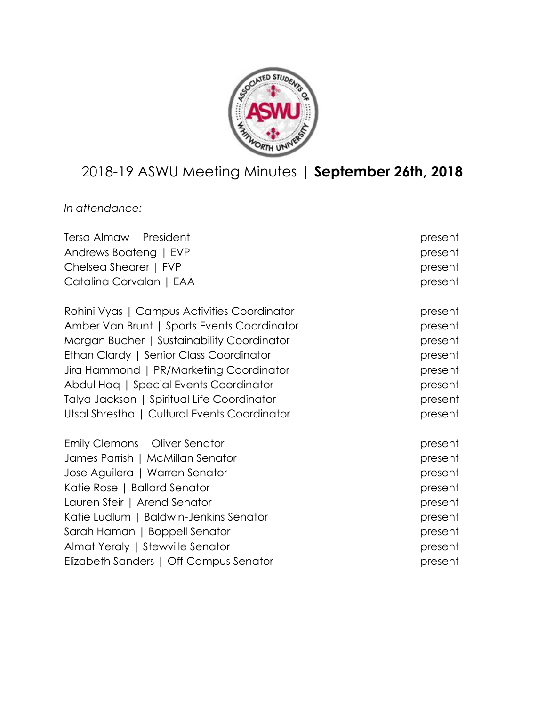

# 2018-19 ASWU Meeting Minutes | **September 26th, 2018**

*In attendance:*

| Tersa Almaw   President                      | present |
|----------------------------------------------|---------|
| Andrews Boateng   EVP                        | present |
| Chelsea Shearer   FVP                        | present |
| Catalina Corvalan   EAA                      | present |
| Rohini Vyas   Campus Activities Coordinator  | present |
| Amber Van Brunt   Sports Events Coordinator  | present |
| Morgan Bucher   Sustainability Coordinator   | present |
| Ethan Clardy   Senior Class Coordinator      | present |
| Jira Hammond   PR/Marketing Coordinator      | present |
| Abdul Hag   Special Events Coordinator       | present |
| Talya Jackson   Spiritual Life Coordinator   | present |
| Utsal Shrestha   Cultural Events Coordinator | present |
| Emily Clemons   Oliver Senator               | present |
| James Parrish   McMillan Senator             | present |
| Jose Aguilera   Warren Senator               | present |
| Katie Rose   Ballard Senator                 | present |
| Lauren Sfeir   Arend Senator                 | present |
| Katie Ludlum   Baldwin-Jenkins Senator       | present |
| Sarah Haman   Boppell Senator                | present |
| Almat Yeraly   Stewville Senator             | present |
| Elizabeth Sanders   Off Campus Senator       | present |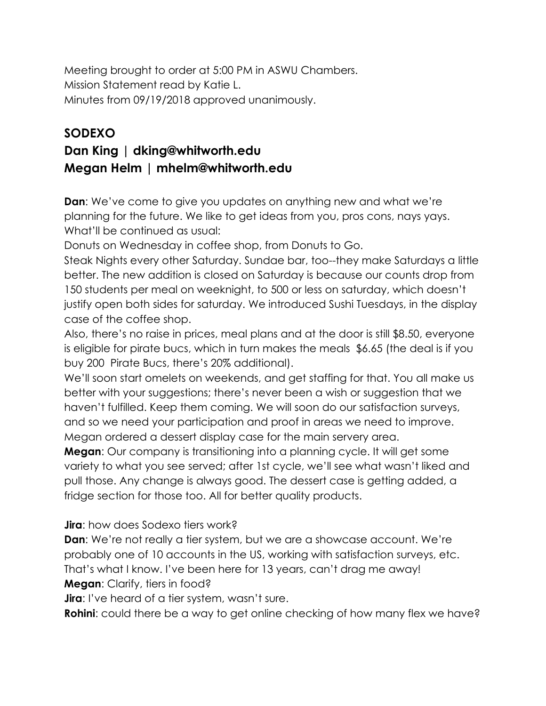Meeting brought to order at 5:00 PM in ASWU Chambers. Mission Statement read by Katie L. Minutes from 09/19/2018 approved unanimously.

# **SODEXO**

# **Dan King | dking@whitworth.edu Megan Helm | mhelm@whitworth.edu**

**Dan:** We've come to give you updates on anything new and what we're planning for the future. We like to get ideas from you, pros cons, nays yays. What'll be continued as usual:

Donuts on Wednesday in coffee shop, from Donuts to Go.

Steak Nights every other Saturday. Sundae bar, too--they make Saturdays a little better. The new addition is closed on Saturday is because our counts drop from 150 students per meal on weeknight, to 500 or less on saturday, which doesn't justify open both sides for saturday. We introduced Sushi Tuesdays, in the display case of the coffee shop.

Also, there's no raise in prices, meal plans and at the door is still \$8.50, everyone is eligible for pirate bucs, which in turn makes the meals \$6.65 (the deal is if you buy 200 Pirate Bucs, there's 20% additional).

We'll soon start omelets on weekends, and get staffing for that. You all make us better with your suggestions; there's never been a wish or suggestion that we haven't fulfilled. Keep them coming. We will soon do our satisfaction surveys, and so we need your participation and proof in areas we need to improve. Megan ordered a dessert display case for the main servery area.

**Megan**: Our company is transitioning into a planning cycle. It will get some variety to what you see served; after 1st cycle, we'll see what wasn't liked and pull those. Any change is always good. The dessert case is getting added, a fridge section for those too. All for better quality products.

#### **Jira**: how does Sodexo tiers work?

**Dan:** We're not really a tier system, but we are a showcase account. We're probably one of 10 accounts in the US, working with satisfaction surveys, etc. That's what I know. I've been here for 13 years, can't drag me away! **Megan**: Clarify, tiers in food?

**Jira**: I've heard of a tier system, wasn't sure.

**Rohini:** could there be a way to get online checking of how many flex we have?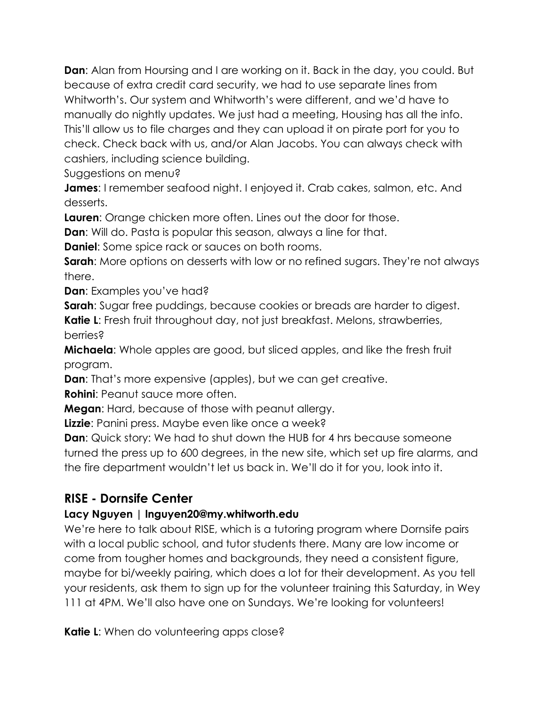**Dan**: Alan from Hoursing and I are working on it. Back in the day, you could. But because of extra credit card security, we had to use separate lines from Whitworth's. Our system and Whitworth's were different, and we'd have to manually do nightly updates. We just had a meeting, Housing has all the info. This'll allow us to file charges and they can upload it on pirate port for you to check. Check back with us, and/or Alan Jacobs. You can always check with cashiers, including science building.

Suggestions on menu?

**James:** I remember seafood night. I enjoyed it. Crab cakes, salmon, etc. And desserts.

**Lauren**: Orange chicken more often. Lines out the door for those.

**Dan**: Will do. Pasta is popular this season, always a line for that.

**Daniel**: Some spice rack or sauces on both rooms.

**Sarah**: More options on desserts with low or no refined sugars. They're not always there.

**Dan**: Examples you've had?

**Sarah**: Sugar free puddings, because cookies or breads are harder to digest.

**Katie L**: Fresh fruit throughout day, not just breakfast. Melons, strawberries, berries?

**Michaela**: Whole apples are good, but sliced apples, and like the fresh fruit program.

**Dan**: That's more expensive (apples), but we can get creative.

**Rohini**: Peanut sauce more often.

**Megan**: Hard, because of those with peanut allergy.

**Lizzie**: Panini press. Maybe even like once a week?

**Dan**: Quick story: We had to shut down the HUB for 4 hrs because someone turned the press up to 600 degrees, in the new site, which set up fire alarms, and the fire department wouldn't let us back in. We'll do it for you, look into it.

## **RISE - Dornsife Center**

#### **Lacy Nguyen | lnguyen20@my.whitworth.edu**

We're here to talk about RISE, which is a tutoring program where Dornsife pairs with a local public school, and tutor students there. Many are low income or come from tougher homes and backgrounds, they need a consistent figure, maybe for bi/weekly pairing, which does a lot for their development. As you tell your residents, ask them to sign up for the volunteer training this Saturday, in Wey 111 at 4PM. We'll also have one on Sundays. We're looking for volunteers!

**Katie L:** When do volunteering apps close?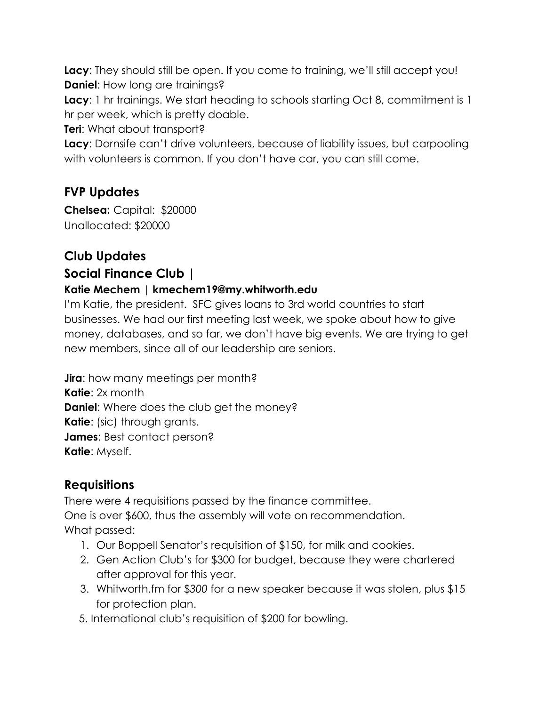**Lacy**: They should still be open. If you come to training, we'll still accept you! **Daniel:** How long are trainings?

**Lacy:** 1 hr trainings. We start heading to schools starting Oct 8, commitment is 1 hr per week, which is pretty doable.

**Teri**: What about transport?

**Lacy**: Dornsife can't drive volunteers, because of liability issues, but carpooling with volunteers is common. If you don't have car, you can still come.

## **FVP Updates**

**Chelsea:** Capital: \$20000 Unallocated: \$20000

# **Club Updates**

### **Social Finance Club |**

#### **Katie Mechem | kmechem19@my.whitworth.edu**

I'm Katie, the president. SFC gives loans to 3rd world countries to start businesses. We had our first meeting last week, we spoke about how to give money, databases, and so far, we don't have big events. We are trying to get new members, since all of our leadership are seniors.

**Jira**: how many meetings per month? **Katie**: 2x month **Daniel**: Where does the club get the money? **Katie**: (sic) through grants. **James**: Best contact person? **Katie**: Myself.

## **Requisitions**

There were 4 requisitions passed by the finance committee. One is over \$600, thus the assembly will vote on recommendation. What passed:

- 1. Our Boppell Senator's requisition of \$150, for milk and cookies.
- 2. Gen Action Club's for \$300 for budget, because they were chartered after approval for this year.
- 3. Whitworth.fm for \$*300* for a new speaker because it was stolen, plus \$15 for protection plan.
- 5. International club's requisition of \$200 for bowling.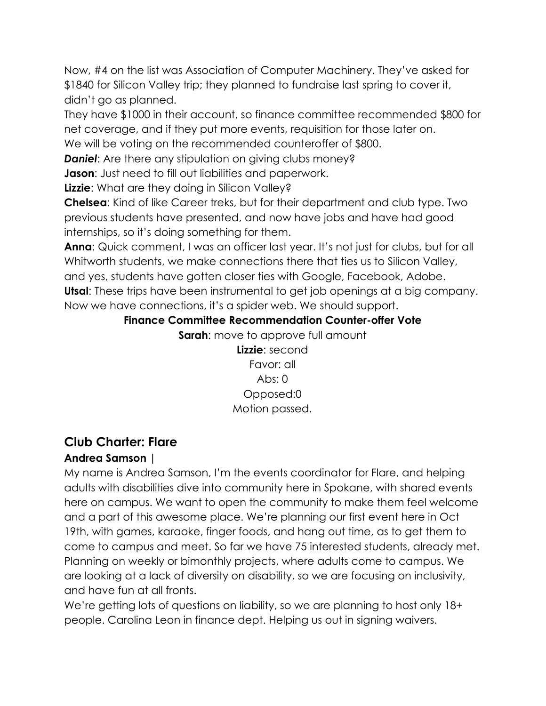Now, #4 on the list was Association of Computer Machinery. They've asked for \$1840 for Silicon Valley trip; they planned to fundraise last spring to cover it, didn't go as planned.

They have \$1000 in their account, so finance committee recommended \$800 for net coverage, and if they put more events, requisition for those later on.

We will be voting on the recommended counteroffer of \$800.

**Daniel:** Are there any stipulation on giving clubs money?

**Jason:** Just need to fill out liabilities and paperwork.

**Lizzie:** What are they doing in Silicon Valley?

**Chelsea**: Kind of like Career treks, but for their department and club type. Two previous students have presented, and now have jobs and have had good internships, so it's doing something for them.

**Anna**: Quick comment, I was an officer last year. It's not just for clubs, but for all Whitworth students, we make connections there that ties us to Silicon Valley, and yes, students have gotten closer ties with Google, Facebook, Adobe. **Utsal**: These trips have been instrumental to get job openings at a big company. Now we have connections, it's a spider web. We should support.

### **Finance Committee Recommendation Counter-offer Vote**

**Sarah:** move to approve full amount

**Lizzie**: second Favor: all Abs:  $0$ Opposed:0 Motion passed.

# **Club Charter: Flare**

## **Andrea Samson |**

My name is Andrea Samson, I'm the events coordinator for Flare, and helping adults with disabilities dive into community here in Spokane, with shared events here on campus. We want to open the community to make them feel welcome and a part of this awesome place. We're planning our first event here in Oct 19th, with games, karaoke, finger foods, and hang out time, as to get them to come to campus and meet. So far we have 75 interested students, already met. Planning on weekly or bimonthly projects, where adults come to campus. We are looking at a lack of diversity on disability, so we are focusing on inclusivity, and have fun at all fronts.

We're getting lots of questions on liability, so we are planning to host only 18+ people. Carolina Leon in finance dept. Helping us out in signing waivers.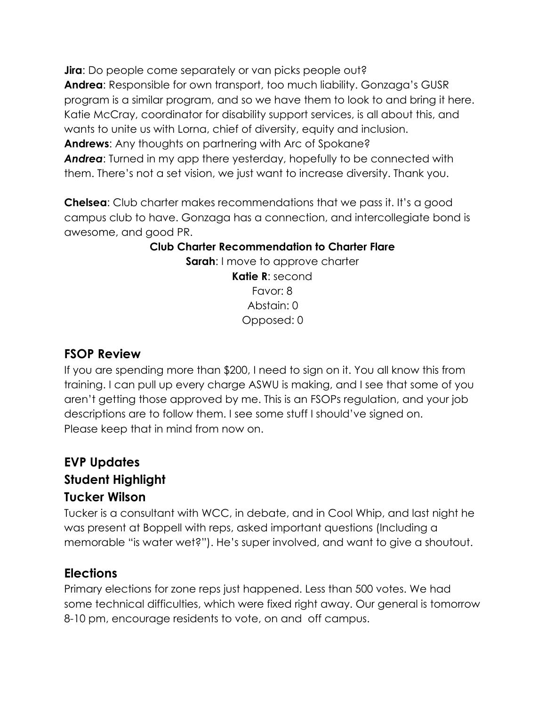**Jira**: Do people come separately or van picks people out? **Andrea**: Responsible for own transport, too much liability. Gonzaga's GUSR program is a similar program, and so we have them to look to and bring it here. Katie McCray, coordinator for disability support services, is all about this, and wants to unite us with Lorna, chief of diversity, equity and inclusion. **Andrews**: Any thoughts on partnering with Arc of Spokane? *Andrea*: Turned in my app there yesterday, hopefully to be connected with them. There's not a set vision, we just want to increase diversity. Thank you.

**Chelsea**: Club charter makes recommendations that we pass it. It's a good campus club to have. Gonzaga has a connection, and intercollegiate bond is awesome, and good PR.

#### **Club Charter Recommendation to Charter Flare**

**Sarah:** I move to approve charter **Katie R**: second Favor: 8 Abstain: 0 Opposed: 0

#### **FSOP Review**

If you are spending more than \$200, I need to sign on it. You all know this from training. I can pull up every charge ASWU is making, and I see that some of you aren't getting those approved by me. This is an FSOPs regulation, and your job descriptions are to follow them. I see some stuff I should've signed on. Please keep that in mind from now on.

## **EVP Updates Student Highlight Tucker Wilson**

Tucker is a consultant with WCC, in debate, and in Cool Whip, and last night he was present at Boppell with reps, asked important questions (Including a memorable "is water wet?"). He's super involved, and want to give a shoutout.

#### **Elections**

Primary elections for zone reps just happened. Less than 500 votes. We had some technical difficulties, which were fixed right away. Our general is tomorrow 8-10 pm, encourage residents to vote, on and off campus.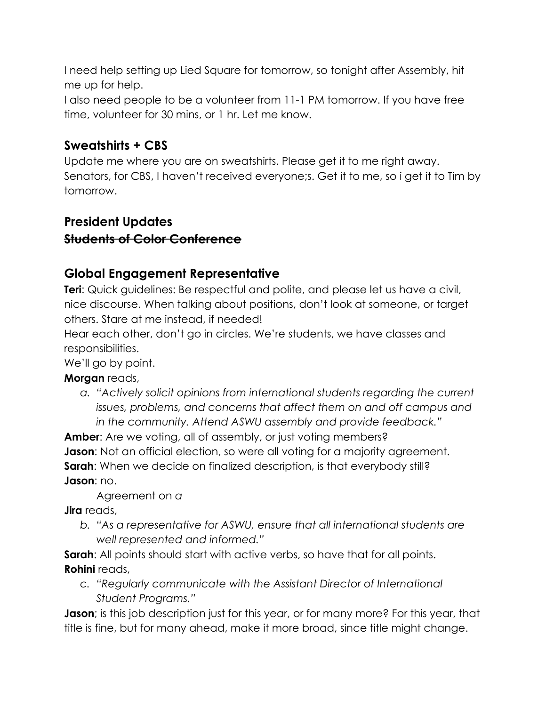I need help setting up Lied Square for tomorrow, so tonight after Assembly, hit me up for help.

I also need people to be a volunteer from 11-1 PM tomorrow. If you have free time, volunteer for 30 mins, or 1 hr. Let me know.

### **Sweatshirts + CBS**

Update me where you are on sweatshirts. Please get it to me right away. Senators, for CBS, I haven't received everyone;s. Get it to me, so i get it to Tim by tomorrow.

# **President Updates Students of Color Conference**

## **Global Engagement Representative**

**Teri**: Quick guidelines: Be respectful and polite, and please let us have a civil, nice discourse. When talking about positions, don't look at someone, or target others. Stare at me instead, if needed!

Hear each other, don't go in circles. We're students, we have classes and responsibilities.

We'll go by point.

**Morgan** reads,

*a. "Actively solicit opinions from international students regarding the current issues, problems, and concerns that affect them on and off campus and in the community. Attend ASWU assembly and provide feedback."*

**Amber**: Are we voting, all of assembly, or just voting members? **Jason**: Not an official election, so were all voting for a majority agreement. **Sarah**: When we decide on finalized description, is that everybody still? **Jason**: no.

Agreement on *a*

**Jira** reads,

*b. "As a representative for ASWU, ensure that all international students are well represented and informed."*

**Sarah:** All points should start with active verbs, so have that for all points. **Rohini** reads,

*c. "Regularly communicate with the Assistant Director of International Student Programs."*

**Jason**; is this job description just for this year, or for many more? For this year, that title is fine, but for many ahead, make it more broad, since title might change.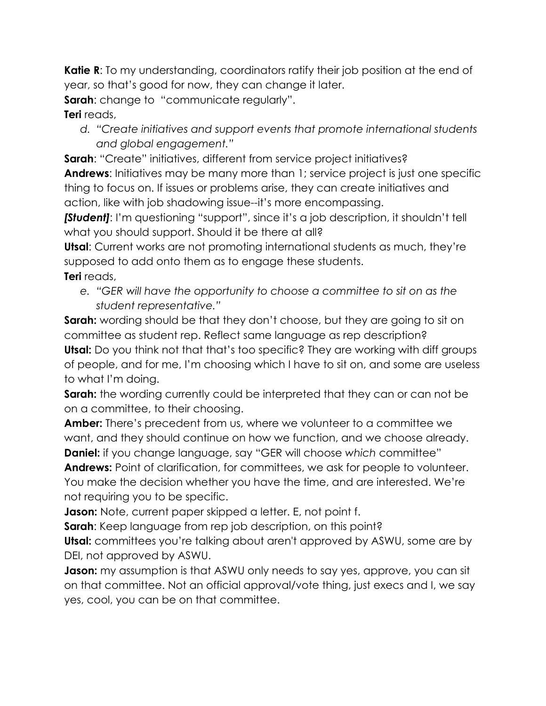**Katie R**: To my understanding, coordinators ratify their job position at the end of year, so that's good for now, they can change it later.

**Sarah:** change to "communicate regularly".

#### **Teri** reads,

*d. "Create initiatives and support events that promote international students and global engagement."*

**Sarah:** "Create" initiatives, different from service project initiatives? **Andrews**: Initiatives may be many more than 1; service project is just one specific thing to focus on. If issues or problems arise, they can create initiatives and action, like with job shadowing issue--it's more encompassing.

**[Student]**: I'm questioning "support", since it's a job description, it shouldn't tell what you should support. Should it be there at all?

**Utsal**: Current works are not promoting international students as much, they're supposed to add onto them as to engage these students.

- **Teri** reads,
	- *e. "GER will have the opportunity to choose a committee to sit on as the student representative."*

**Sarah:** wording should be that they don't choose, but they are going to sit on committee as student rep. Reflect same language as rep description? **Utsal:** Do you think not that that's too specific? They are working with diff groups of people, and for me, I'm choosing which I have to sit on, and some are useless to what I'm doing.

**Sarah:** the wording currently could be interpreted that they can or can not be on a committee, to their choosing.

**Amber:** There's precedent from us, where we volunteer to a committee we want, and they should continue on how we function, and we choose already. **Daniel:** if you change language, say "GER will choose *which* committee"

**Andrews:** Point of clarification, for committees, we ask for people to volunteer. You make the decision whether you have the time, and are interested. We're not requiring you to be specific.

**Jason:** Note, current paper skipped a letter. E, not point f.

**Sarah**: Keep language from rep job description, on this point?

**Utsal:** committees you're talking about aren't approved by ASWU, some are by DEI, not approved by ASWU.

**Jason:** my assumption is that ASWU only needs to say yes, approve, you can sit on that committee. Not an official approval/vote thing, just execs and I, we say yes, cool, you can be on that committee.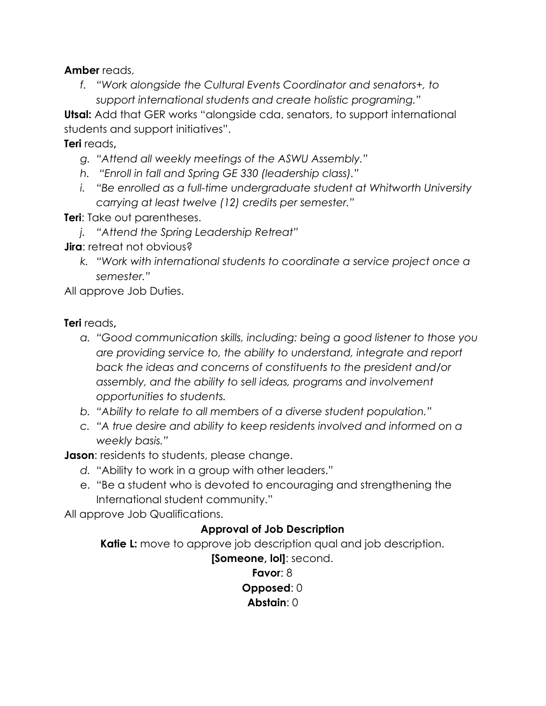**Amber** reads,

*f. "Work alongside the Cultural Events Coordinator and senators+, to support international students and create holistic programing."*

**Utsal:** Add that GER works "alongside cda, senators, to support international students and support initiatives".

**Teri** reads**,**

- *g. "Attend all weekly meetings of the ASWU Assembly."*
- *h. "Enroll in fall and Spring GE 330 (leadership class)."*
- *i. "Be enrolled as a full-time undergraduate student at Whitworth University carrying at least twelve (12) credits per semester."*

**Teri**: Take out parentheses.

- *j. "Attend the Spring Leadership Retreat"*
- **Jira**: retreat not obvious?
	- *k. "Work with international students to coordinate a service project once a semester."*

All approve Job Duties.

#### **Teri** reads**,**

- *a. "Good communication skills, including: being a good listener to those you are providing service to, the ability to understand, integrate and report back the ideas and concerns of constituents to the president and/or assembly, and the ability to sell ideas, programs and involvement opportunities to students.*
- *b. "Ability to relate to all members of a diverse student population."*
- *c. "A true desire and ability to keep residents involved and informed on a weekly basis."*

**Jason:** residents to students, please change.

- *d.* "Ability to work in a group with other leaders."
- e. "Be a student who is devoted to encouraging and strengthening the International student community."

All approve Job Qualifications.

#### **Approval of Job Description**

**Katie L:** move to approve job description qual and job description.

**[Someone, lol]**: second.

**Favor**: 8 **Opposed**: 0 **Abstain**: 0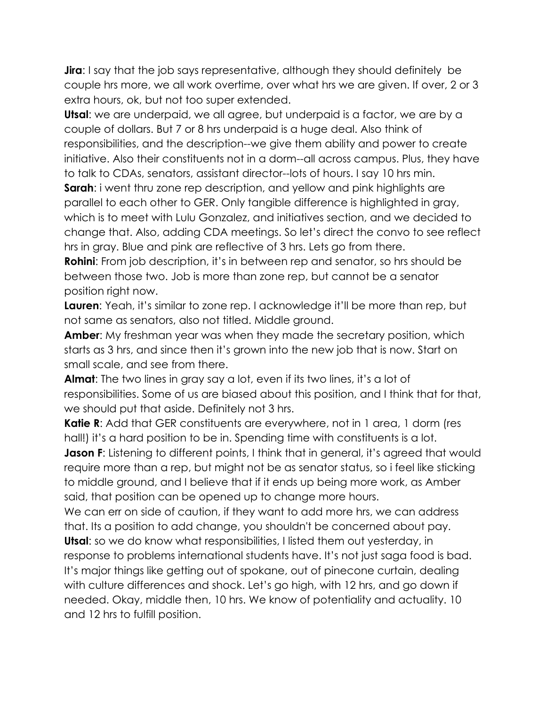**Jira**: I say that the job says representative, although they should definitely be couple hrs more, we all work overtime, over what hrs we are given. If over, 2 or 3 extra hours, ok, but not too super extended.

**Utsal**: we are underpaid, we all agree, but underpaid is a factor, we are by a couple of dollars. But 7 or 8 hrs underpaid is a huge deal. Also think of responsibilities, and the description--we give them ability and power to create initiative. Also their constituents not in a dorm--all across campus. Plus, they have to talk to CDAs, senators, assistant director--lots of hours. I say 10 hrs min.

**Sarah**: i went thru zone rep description, and yellow and pink highlights are parallel to each other to GER. Only tangible difference is highlighted in gray, which is to meet with Lulu Gonzalez, and initiatives section, and we decided to change that. Also, adding CDA meetings. So let's direct the convo to see reflect hrs in gray. Blue and pink are reflective of 3 hrs. Lets go from there.

**Rohini**: From job description, it's in between rep and senator, so hrs should be between those two. Job is more than zone rep, but cannot be a senator position right now.

**Lauren**: Yeah, it's similar to zone rep. I acknowledge it'll be more than rep, but not same as senators, also not titled. Middle ground.

**Amber**: My freshman year was when they made the secretary position, which starts as 3 hrs, and since then it's grown into the new job that is now. Start on small scale, and see from there.

**Almat**: The two lines in gray say a lot, even if its two lines, it's a lot of responsibilities. Some of us are biased about this position, and I think that for that, we should put that aside. Definitely not 3 hrs.

**Katie R:** Add that GER constituents are everywhere, not in 1 area, 1 dorm (res hall!) it's a hard position to be in. Spending time with constituents is a lot. **Jason F**: Listening to different points, I think that in general, it's agreed that would require more than a rep, but might not be as senator status, so i feel like sticking to middle ground, and I believe that if it ends up being more work, as Amber said, that position can be opened up to change more hours.

We can err on side of caution, if they want to add more hrs, we can address that. Its a position to add change, you shouldn't be concerned about pay.

**Utsal**: so we do know what responsibilities, I listed them out yesterday, in response to problems international students have. It's not just saga food is bad. It's major things like getting out of spokane, out of pinecone curtain, dealing with culture differences and shock. Let's go high, with 12 hrs, and go down if needed. Okay, middle then, 10 hrs. We know of potentiality and actuality. 10 and 12 hrs to fulfill position.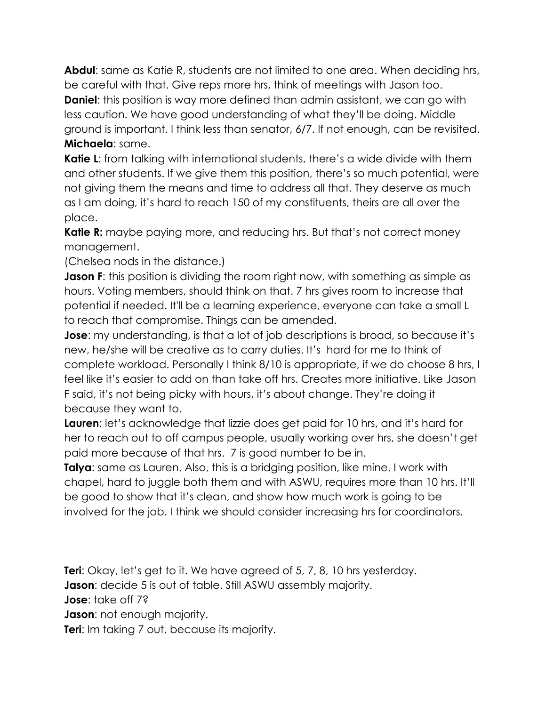**Abdul**: same as Katie R, students are not limited to one area. When deciding hrs, be careful with that. Give reps more hrs, think of meetings with Jason too. **Daniel**: this position is way more defined than admin assistant, we can go with less caution. We have good understanding of what they'll be doing. Middle ground is important. I think less than senator, 6/7. If not enough, can be revisited. **Michaela**: same.

**Katie L**: from talking with international students, there's a wide divide with them and other students. If we give them this position, there's so much potential, were not giving them the means and time to address all that. They deserve as much as I am doing, it's hard to reach 150 of my constituents, theirs are all over the place.

**Katie R:** maybe paying more, and reducing hrs. But that's not correct money management.

(Chelsea nods in the distance.)

**Jason F**: this position is dividing the room right now, with something as simple as hours. Voting members, should think on that. 7 hrs gives room to increase that potential if needed. It'll be a learning experience, everyone can take a small L to reach that compromise. Things can be amended.

**Jose**: my understanding, is that a lot of job descriptions is broad, so because it's new, he/she will be creative as to carry duties. It's hard for me to think of complete workload. Personally I think 8/10 is appropriate, if we do choose 8 hrs, I feel like it's easier to add on than take off hrs. Creates more initiative. Like Jason F said, it's not being picky with hours, it's about change. They're doing it because they want to.

**Lauren**: let's acknowledge that lizzie does get paid for 10 hrs, and it's hard for her to reach out to off campus people, usually working over hrs, she doesn't get paid more because of that hrs. 7 is good number to be in.

**Talya**: same as Lauren. Also, this is a bridging position, like mine. I work with chapel, hard to juggle both them and with ASWU, requires more than 10 hrs. It'll be good to show that it's clean, and show how much work is going to be involved for the job. I think we should consider increasing hrs for coordinators.

**Teri**: Okay, let's get to it. We have agreed of 5, 7, 8, 10 hrs yesterday. **Jason**: decide 5 is out of table. Still ASWU assembly majority. **Jose**: take off 7? **Jason**: not enough majority. **Teri:** Im taking 7 out, because its majority.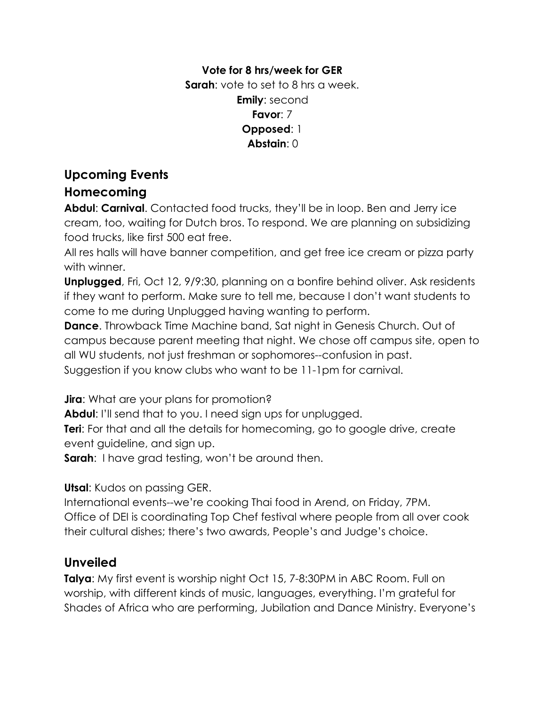#### **Vote for 8 hrs/week for GER Sarah**: vote to set to 8 hrs a week. **Emily**: second **Favor**: 7 **Opposed**: 1 **Abstain**: 0

# **Upcoming Events**

### **Homecoming**

**Abdul**: **Carnival**. Contacted food trucks, they'll be in loop. Ben and Jerry ice cream, too, waiting for Dutch bros. To respond. We are planning on subsidizing food trucks, like first 500 eat free.

All res halls will have banner competition, and get free ice cream or pizza party with winner.

**Unplugged**, Fri, Oct 12, 9/9:30, planning on a bonfire behind oliver. Ask residents if they want to perform. Make sure to tell me, because I don't want students to come to me during Unplugged having wanting to perform.

**Dance**. Throwback Time Machine band, Sat night in Genesis Church. Out of campus because parent meeting that night. We chose off campus site, open to all WU students, not just freshman or sophomores--confusion in past. Suggestion if you know clubs who want to be 11-1pm for carnival.

**Jira**: What are your plans for promotion?

**Abdul**: I'll send that to you. I need sign ups for unplugged.

**Teri**: For that and all the details for homecoming, go to google drive, create event guideline, and sign up.

**Sarah:** I have grad testing, won't be around then.

**Utsal**: Kudos on passing GER.

International events--we're cooking Thai food in Arend, on Friday, 7PM. Office of DEI is coordinating Top Chef festival where people from all over cook their cultural dishes; there's two awards, People's and Judge's choice.

## **Unveiled**

**Talya**: My first event is worship night Oct 15, 7-8:30PM in ABC Room. Full on worship, with different kinds of music, languages, everything. I'm grateful for Shades of Africa who are performing, Jubilation and Dance Ministry. Everyone's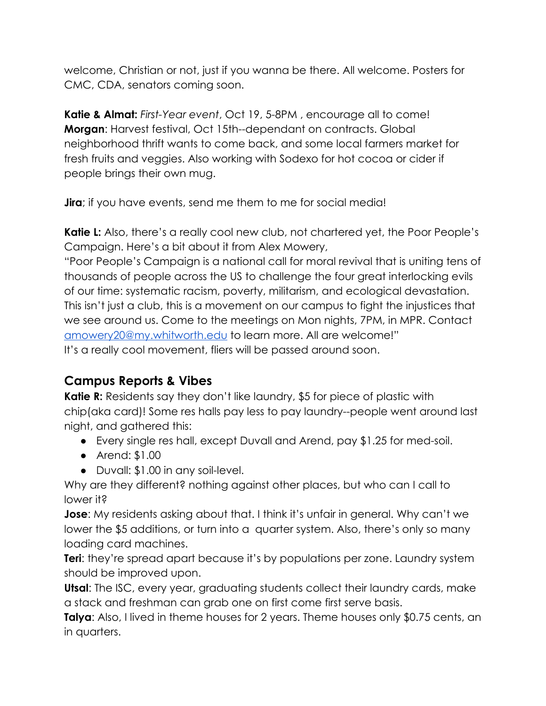welcome, Christian or not, just if you wanna be there. All welcome. Posters for CMC, CDA, senators coming soon.

**Katie & Almat:** *First-Year event*, Oct 19, 5-8PM , encourage all to come! **Morgan**: Harvest festival, Oct 15th--dependant on contracts. Global neighborhood thrift wants to come back, and some local farmers market for fresh fruits and veggies. Also working with Sodexo for hot cocoa or cider if people brings their own mug.

**Jira**; if you have events, send me them to me for social media!

**Katie L:** Also, there's a really cool new club, not chartered yet, the Poor People's Campaign. Here's a bit about it from Alex Mowery,

"Poor People's Campaign is a national call for moral revival that is uniting tens of thousands of people across the US to challenge the four great interlocking evils of our time: systematic racism, poverty, militarism, and ecological devastation. This isn't just a club, this is a movement on our campus to fight the injustices that we see around us. Come to the meetings on Mon nights, 7PM, in MPR. Contact [amowery20@my.whitworth.edu](mailto:amowery20@my.whitworth.edu) to learn more. All are welcome!" It's a really cool movement, fliers will be passed around soon.

## **Campus Reports & Vibes**

**Katie R:** Residents say they don't like laundry, \$5 for piece of plastic with chip(aka card)! Some res halls pay less to pay laundry--people went around last night, and gathered this:

- Every single res hall, except Duvall and Arend, pay \$1.25 for med-soil.
- Arend: \$1.00
- Duvall: \$1.00 in any soil-level.

Why are they different? nothing against other places, but who can I call to lower it?

**Jose**: My residents asking about that. I think it's unfair in general. Why can't we lower the \$5 additions, or turn into a quarter system. Also, there's only so many loading card machines.

**Teri**: they're spread apart because it's by populations per zone. Laundry system should be improved upon.

**Utsal**: The ISC, every year, graduating students collect their laundry cards, make a stack and freshman can grab one on first come first serve basis.

**Talya**: Also, I lived in theme houses for 2 years. Theme houses only \$0.75 cents, an in quarters.